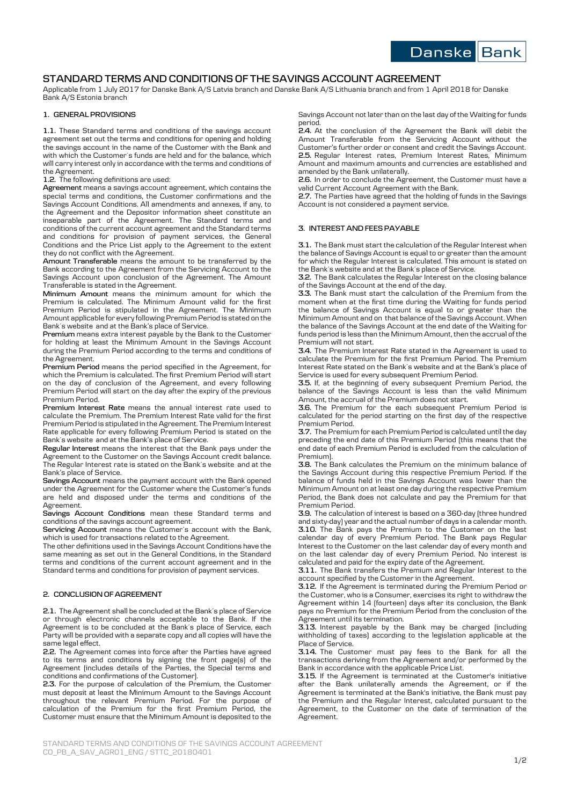

# **STANDARD TERMS AND CONDITIONS OF THE SAVINGS ACCOUNT AGREEMENT**

Applicable from 1 July 2017 for Danske Bank A/S Latvia branch and Danske Bank A/S Lithuania branch and from 1 April 2018 for Danske Bank A/S Estonia branch

#### **1. GENERAL PROVISIONS**

**1.1.** These Standard terms and conditions of the savings account agreement set out the terms and conditions for opening and holding the savings account in the name of the Customer with the Bank and with which the Customer´s funds are held and for the balance, which will carry interest only in accordance with the terms and conditions of the Agreement.

**1.2.** The following definitions are used:

**Agreement** means a savings account agreement, which contains the special terms and conditions, the Customer confirmations and the Savings Account Conditions. All amendments and annexes, if any, to the Agreement and the Depositor information sheet constitute an inseparable part of the Agreement. The Standard terms and conditions of the current account agreement and the Standard terms and conditions for provision of payment services, the General Conditions and the Price List apply to the Agreement to the extent they do not conflict with the Agreement.

**Amount Transferable** means the amount to be transferred by the Bank according to the Agreement from the Servicing Account to the Savings Account upon conclusion of the Agreement. The Amount Transferable is stated in the Agreement.

**Minimum Amount** means the minimum amount for which the Premium is calculated. The Minimum Amount valid for the first Premium Period is stipulated in the Agreement. The Minimum Amount applicable for every following Premium Period is stated on the Bank´s website and at the Bank's place of Service.

**Premium** means extra interest payable by the Bank to the Customer for holding at least the Minimum Amount in the Savings Account during the Premium Period according to the terms and conditions of the Agreement.

**Premium Period** means the period specified in the Agreement, for which the Premium is calculated. The first Premium Period will start on the day of conclusion of the Agreement, and every following Premium Period will start on the day after the expiry of the previous Premium Period.

**Premium Interest Rate** means the annual interest rate used to calculate the Premium. The Premium Interest Rate valid for the first Premium Period is stipulated in the Agreement. The Premium Interest Rate applicable for every following Premium Period is stated on the Bank´s website and at the Bank's place of Service.

**Regular Interest** means the interest that the Bank pays under the Agreement to the Customer on the Savings Account credit balance. The Regular Interest rate is stated on the Bank´s website and at the Bank's place of Service.

**Savings Account** means the payment account with the Bank opened under the Agreement for the Customer where the Customer's funds are held and disposed under the terms and conditions of the Agreement.

**Savings Account Conditions** mean these Standard terms and conditions of the savings account agreement.

**Servicing Account** means the Customer´s account with the Bank, which is used for transactions related to the Agreement.

The other definitions used in the Savings Account Conditions have the same meaning as set out in the General Conditions, in the Standard terms and conditions of the current account agreement and in the Standard terms and conditions for provision of payment services.

## **2. CONCLUSION OF AGREEMENT**

**2.1.** The Agreement shall be concluded at the Bank´s place of Service or through electronic channels acceptable to the Bank. If the Agreement is to be concluded at the Bank´s place of Service, each Party will be provided with a separate copy and all copies will have the same legal effect.

**2.2.** The Agreement comes into force after the Parties have agreed to its terms and conditions by signing the front page(s) of the Agreement (includes details of the Parties, the Special terms and conditions and confirmations of the Customer).

**2.3.** For the purpose of calculation of the Premium, the Customer must deposit at least the Minimum Amount to the Savings Account throughout the relevant Premium Period. For the purpose of calculation of the Premium for the first Premium Period, the Customer must ensure that the Minimum Amount is deposited to the

Savings Account not later than on the last day of the Waiting for funds period.

**2.4.** At the conclusion of the Agreement the Bank will debit the Amount Transferable from the Servicing Account without the Customer's further order or consent and credit the Savings Account. **2.5.** Regular Interest rates, Premium Interest Rates, Minimum Amount and maximum amounts and currencies are established and amended by the Bank unilaterally.

**2.6.** In order to conclude the Agreement, the Customer must have a valid Current Account Agreement with the Bank.

**2.7.** The Parties have agreed that the holding of funds in the Savings Account is not considered a payment service.

## **3. INTEREST AND FEES PAYABLE**

**3.1.** The Bank must start the calculation of the Regular Interest when the balance of Savings Account is equal to or greater than the amount for which the Regular Interest is calculated. This amount is stated on the Bank´s website and at the Bank´s place of Service.

**3.2.** The Bank calculates the Regular Interest on the closing balance of the Savings Account at the end of the day.

**3.3.** The Bank must start the calculation of the Premium from the moment when at the first time during the Waiting for funds period the balance of Savings Account is equal to or greater than the Minimum Amount and on that balance of the Savings Account. When the balance of the Savings Account at the end date of the Waiting for funds period is less than the Minimum Amount, then the accrual of the Premium will not start.

**3.4.** The Premium Interest Rate stated in the Agreement is used to calculate the Premium for the first Premium Period. The Premium Interest Rate stated on the Bank´s website and at the Bank's place of Service is used for every subsequent Premium Period.

**3.5.** If, at the beginning of every subsequent Premium Period, the balance of the Savings Account is less than the valid Minimum Amount, the accrual of the Premium does not start.

**3.6.** The Premium for the each subsequent Premium Period is calculated for the period starting on the first day of the respective Premium Period.

**3.7.** The Premium for each Premium Period is calculated until the day preceding the end date of this Premium Period (this means that the end date of each Premium Period is excluded from the calculation of Premium).

**3.8.** The Bank calculates the Premium on the minimum balance of the Savings Account during this respective Premium Period. If the balance of funds held in the Savings Account was lower than the Minimum Amount on at least one day during the respective Premium Period, the Bank does not calculate and pay the Premium for that Premium Period.

**3.9.** The calculation of interest is based on a 360-day (three hundred and sixty-day) year and the actual number of days in a calendar month. **3.10.** The Bank pays the Premium to the Customer on the last calendar day of every Premium Period. The Bank pays Regular Interest to the Customer on the last calendar day of every month and on the last calendar day of every Premium Period. No interest is calculated and paid for the expiry date of the Agreement.

**3.11.** The Bank transfers the Premium and Regular Interest to the account specified by the Customer in the Agreement.

**3.12.** If the Agreement is terminated during the Premium Period or the Customer, who is a Consumer, exercises its right to withdraw the Agreement within 14 (fourteen) days after its conclusion, the Bank pays no Premium for the Premium Period from the conclusion of the Agreement until its termination.

**3.13.** Interest payable by the Bank may be charged (including withholding of taxes) according to the legislation applicable at the Place of Service.

**3.14.** The Customer must pay fees to the Bank for all the transactions deriving from the Agreement and/or performed by the Bank in accordance with the applicable Price List.

**3.15.** If the Agreement is terminated at the Customer's initiative after the Bank unilaterally amends the Agreement, or if the Agreement is terminated at the Bank's initiative, the Bank must pay the Premium and the Regular Interest, calculated pursuant to the Agreement, to the Customer on the date of termination of the Agreement.

STANDARD TERMS AND CONDITIONS OF THE SAVINGS ACCOUNT AGREEMENT CO\_PB\_A\_SAV\_AGR01\_ENG / STTC\_20180401